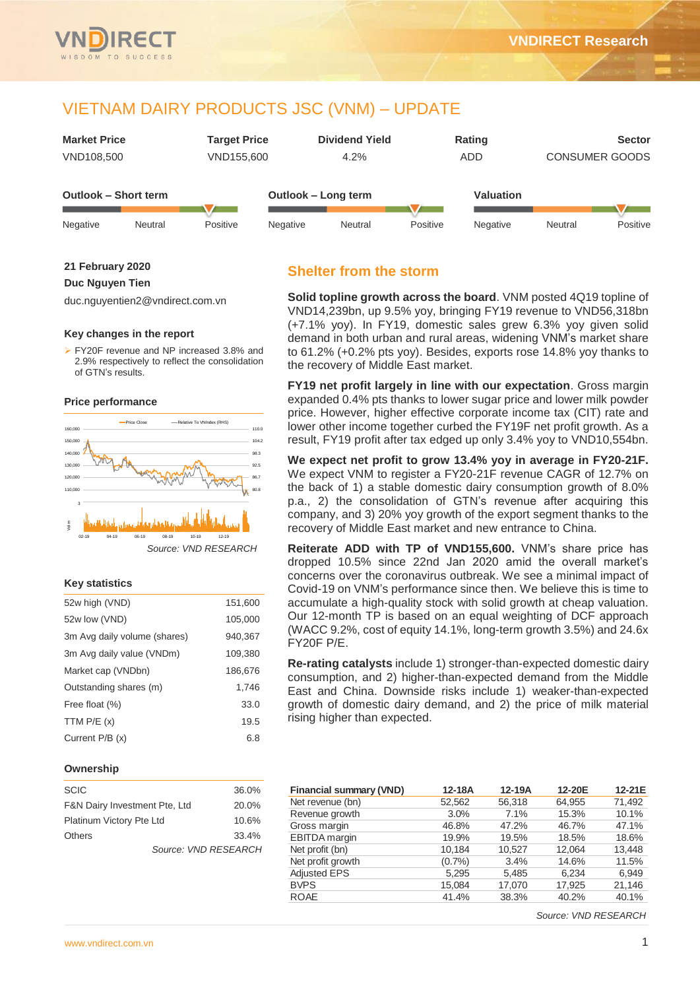

## VIETNAM DAIRY PRODUCTS JSC (VNM) – UPDATE

|                             | <b>Market Price</b><br><b>Target Price</b><br>VND155,600<br>VND108,500 |          |          | <b>Dividend Yield</b><br>4.2% |          | Rating<br><b>ADD</b> | <b>CONSUMER GOODS</b> | <b>Sector</b> |
|-----------------------------|------------------------------------------------------------------------|----------|----------|-------------------------------|----------|----------------------|-----------------------|---------------|
| <b>Outlook - Short term</b> |                                                                        |          |          | Outlook - Long term           |          | Valuation            |                       |               |
| Negative                    | Neutral                                                                | Positive | Negative | Neutral                       | Positive | Negative             | Neutral               | Positive      |

#### **21 February 2020**

#### **Duc Nguyen Tien**

duc.nguyentien2@vndirect.com.vn

#### **Key changes in the report**

 FY20F revenue and NP increased 3.8% and 2.9% respectively to reflect the consolidation of GTN's results.

#### **Price performance**



#### **Key statistics**

| 52w high (VND)               | 151,600 |
|------------------------------|---------|
| 52w low (VND)                | 105,000 |
| 3m Avg daily volume (shares) | 940,367 |
| 3m Avg daily value (VNDm)    | 109,380 |
| Market cap (VNDbn)           | 186,676 |
| Outstanding shares (m)       | 1.746   |
| Free float (%)               | 33.0    |
| TTM $P/E(x)$                 | 19.5    |
| Current P/B (x)              | 6.8     |

#### **Ownership**

| <b>SCIC</b>                   | 36.0% |
|-------------------------------|-------|
| F&N Dairy Investment Pte, Ltd | 20.0% |
| Platinum Victory Pte Ltd      | 10.6% |
| <b>Others</b>                 | 33.4% |
| Source: VND RESEARCH          |       |

## **Shelter from the storm**

**Solid topline growth across the board**. VNM posted 4Q19 topline of VND14,239bn, up 9.5% yoy, bringing FY19 revenue to VND56,318bn (+7.1% yoy). In FY19, domestic sales grew 6.3% yoy given solid demand in both urban and rural areas, widening VNM's market share to 61.2% (+0.2% pts yoy). Besides, exports rose 14.8% yoy thanks to the recovery of Middle East market.

**FY19 net profit largely in line with our expectation**. Gross margin expanded 0.4% pts thanks to lower sugar price and lower milk powder price. However, higher effective corporate income tax (CIT) rate and lower other income together curbed the FY19F net profit growth. As a result, FY19 profit after tax edged up only 3.4% yoy to VND10,554bn.

**We expect net profit to grow 13.4% yoy in average in FY20-21F.**  We expect VNM to register a FY20-21F revenue CAGR of 12.7% on the back of 1) a stable domestic dairy consumption growth of 8.0% p.a., 2) the consolidation of GTN's revenue after acquiring this company, and 3) 20% yoy growth of the export segment thanks to the recovery of Middle East market and new entrance to China.

**Reiterate ADD with TP of VND155,600.** VNM's share price has dropped 10.5% since 22nd Jan 2020 amid the overall market's concerns over the coronavirus outbreak. We see a minimal impact of Covid-19 on VNM's performance since then. We believe this is time to accumulate a high-quality stock with solid growth at cheap valuation. Our 12-month TP is based on an equal weighting of DCF approach (WACC 9.2%, cost of equity 14.1%, long-term growth 3.5%) and 24.6x FY20F P/E.

**Re-rating catalysts** include 1) stronger-than-expected domestic dairy consumption, and 2) higher-than-expected demand from the Middle East and China. Downside risks include 1) weaker-than-expected growth of domestic dairy demand, and 2) the price of milk material rising higher than expected.

| <b>Financial summary (VND)</b> | 12-18A | $12-19A$ | 12-20E | 12-21E |
|--------------------------------|--------|----------|--------|--------|
| Net revenue (bn)               | 52,562 | 56,318   | 64,955 | 71,492 |
| Revenue growth                 | 3.0%   | 7.1%     | 15.3%  | 10.1%  |
| Gross margin                   | 46.8%  | 47.2%    | 46.7%  | 47.1%  |
| EBITDA margin                  | 19.9%  | 19.5%    | 18.5%  | 18.6%  |
| Net profit (bn)                | 10,184 | 10.527   | 12.064 | 13,448 |
| Net profit growth              | (0.7%  | 3.4%     | 14.6%  | 11.5%  |
| <b>Adjusted EPS</b>            | 5,295  | 5,485    | 6.234  | 6.949  |
| <b>BVPS</b>                    | 15,084 | 17.070   | 17,925 | 21.146 |
| <b>ROAE</b>                    | 41.4%  | 38.3%    | 40.2%  | 40.1%  |
|                                |        |          |        |        |

*Source: VND RESEARCH*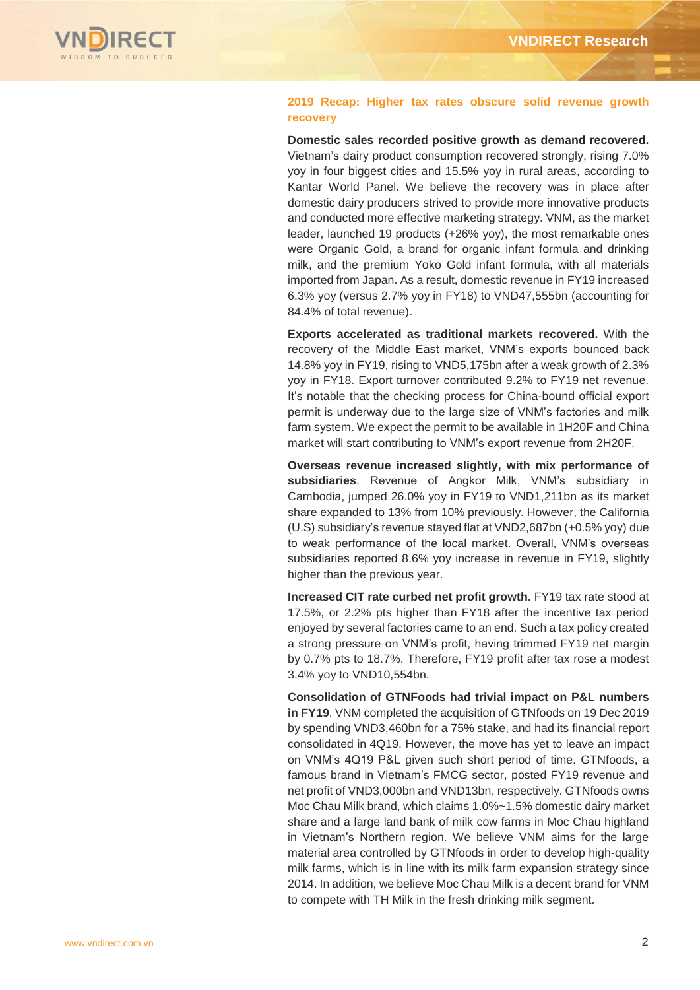

### **2019 Recap: Higher tax rates obscure solid revenue growth recovery**

**Domestic sales recorded positive growth as demand recovered.** Vietnam's dairy product consumption recovered strongly, rising 7.0% yoy in four biggest cities and 15.5% yoy in rural areas, according to Kantar World Panel. We believe the recovery was in place after domestic dairy producers strived to provide more innovative products and conducted more effective marketing strategy. VNM, as the market leader, launched 19 products (+26% yoy), the most remarkable ones were Organic Gold, a brand for organic infant formula and drinking milk, and the premium Yoko Gold infant formula, with all materials imported from Japan. As a result, domestic revenue in FY19 increased 6.3% yoy (versus 2.7% yoy in FY18) to VND47,555bn (accounting for 84.4% of total revenue).

**Exports accelerated as traditional markets recovered.** With the recovery of the Middle East market, VNM's exports bounced back 14.8% yoy in FY19, rising to VND5,175bn after a weak growth of 2.3% yoy in FY18. Export turnover contributed 9.2% to FY19 net revenue. It's notable that the checking process for China-bound official export permit is underway due to the large size of VNM's factories and milk farm system. We expect the permit to be available in 1H20F and China market will start contributing to VNM's export revenue from 2H20F.

**Overseas revenue increased slightly, with mix performance of subsidiaries**. Revenue of Angkor Milk, VNM's subsidiary in Cambodia, jumped 26.0% yoy in FY19 to VND1,211bn as its market share expanded to 13% from 10% previously. However, the California (U.S) subsidiary's revenue stayed flat at VND2,687bn (+0.5% yoy) due to weak performance of the local market. Overall, VNM's overseas subsidiaries reported 8.6% yoy increase in revenue in FY19, slightly higher than the previous year.

**Increased CIT rate curbed net profit growth.** FY19 tax rate stood at 17.5%, or 2.2% pts higher than FY18 after the incentive tax period enjoyed by several factories came to an end. Such a tax policy created a strong pressure on VNM's profit, having trimmed FY19 net margin by 0.7% pts to 18.7%. Therefore, FY19 profit after tax rose a modest 3.4% yoy to VND10,554bn.

**Consolidation of GTNFoods had trivial impact on P&L numbers in FY19**. VNM completed the acquisition of GTNfoods on 19 Dec 2019 by spending VND3,460bn for a 75% stake, and had its financial report consolidated in 4Q19. However, the move has yet to leave an impact on VNM's 4Q19 P&L given such short period of time. GTNfoods, a famous brand in Vietnam's FMCG sector, posted FY19 revenue and net profit of VND3,000bn and VND13bn, respectively. GTNfoods owns Moc Chau Milk brand, which claims 1.0%~1.5% domestic dairy market share and a large land bank of milk cow farms in Moc Chau highland in Vietnam's Northern region. We believe VNM aims for the large material area controlled by GTNfoods in order to develop high-quality milk farms, which is in line with its milk farm expansion strategy since 2014. In addition, we believe Moc Chau Milk is a decent brand for VNM to compete with TH Milk in the fresh drinking milk segment.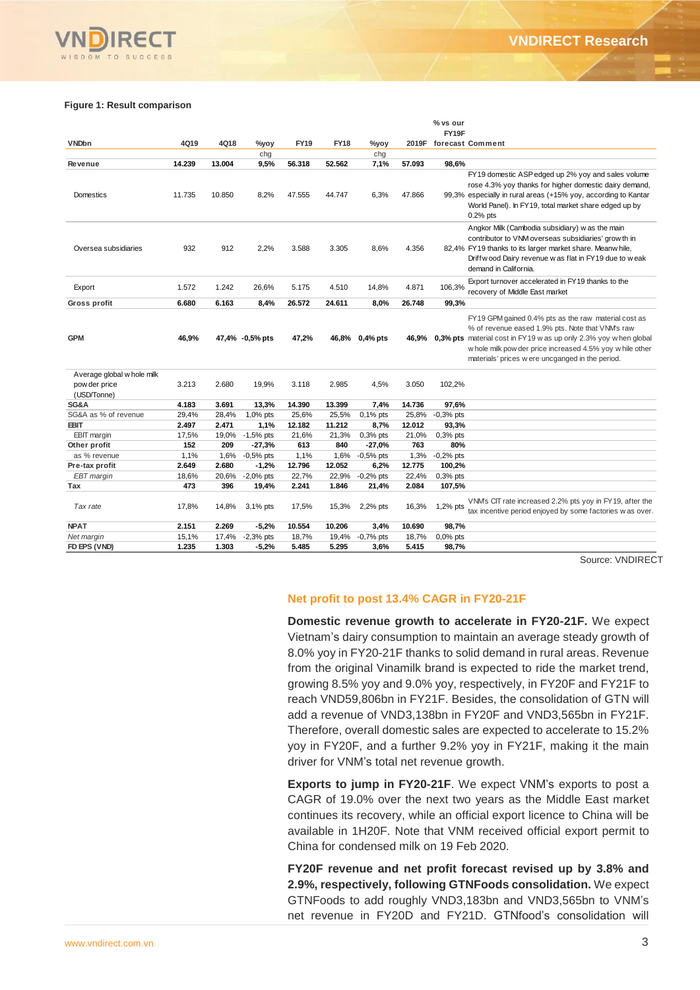#### **Figure 1: Result comparison**

|                                             |                |                |                        |                |                |                                            |                | % vs our              |                                                                                                                                                                                                                                                                                                                                                                                                                                                                                                                                                                                                                                                                                                                 |
|---------------------------------------------|----------------|----------------|------------------------|----------------|----------------|--------------------------------------------|----------------|-----------------------|-----------------------------------------------------------------------------------------------------------------------------------------------------------------------------------------------------------------------------------------------------------------------------------------------------------------------------------------------------------------------------------------------------------------------------------------------------------------------------------------------------------------------------------------------------------------------------------------------------------------------------------------------------------------------------------------------------------------|
| <b>VNDbn</b>                                | 4Q19           | 4Q18           | %yoy                   | <b>FY19</b>    | <b>FY18</b>    | %yoy                                       |                | FY19F                 | 2019F forecast Comment                                                                                                                                                                                                                                                                                                                                                                                                                                                                                                                                                                                                                                                                                          |
|                                             |                |                | chg                    |                |                | chg                                        |                |                       |                                                                                                                                                                                                                                                                                                                                                                                                                                                                                                                                                                                                                                                                                                                 |
| Revenue                                     | 14.239         | 13.004         | 9,5%                   | 56.318         | 52.562         | 7,1%                                       | 57.093         | 98,6%                 |                                                                                                                                                                                                                                                                                                                                                                                                                                                                                                                                                                                                                                                                                                                 |
| Domestics                                   | 11.735         | 10.850         | 8,2%                   | 47.555         | 44.747         | 6,3%                                       | 47.866         |                       | FY19 domestic ASP edged up 2% yoy and sales volume<br>rose 4.3% yoy thanks for higher domestic dairy demand,<br>99,3% especially in rural areas (+15% yoy, according to Kantar<br>World Panel). In FY19, total market share edged up by<br>$0.2%$ pts                                                                                                                                                                                                                                                                                                                                                                                                                                                           |
| Oversea subsidiaries                        | 932            | 912            | 2,2%                   | 3.588          | 3.305          | 8,6%                                       | 4.356          |                       | Angkor Milk (Cambodia subsidiary) w as the main<br>contributor to VNM overseas subsidiaries' grow th in<br>82,4% FY19 thanks to its larger market share. Meanw hile,<br>Driffwood Dairy revenue was flat in FY19 due to weak<br>demand in California.                                                                                                                                                                                                                                                                                                                                                                                                                                                           |
| Export                                      | 1.572          | 1.242          | 26,6%                  | 5.175          | 4.510          | 14,8%                                      | 4.871          | 106,3%                | Export turnover accelerated in FY19 thanks to the<br>recovery of Middle East market                                                                                                                                                                                                                                                                                                                                                                                                                                                                                                                                                                                                                             |
| Gross profit                                | 6.680          | 6.163          | 8,4%                   | 26.572         | 24.611         | 8,0%                                       | 26.748         | 99,3%                 |                                                                                                                                                                                                                                                                                                                                                                                                                                                                                                                                                                                                                                                                                                                 |
| <b>GPM</b>                                  | 46,9%          |                | 47,4% -0,5% pts        | 47,2%          |                | 46,8% 0,4% pts                             | 46,9%          |                       | FY19 GPM gained 0.4% pts as the raw material cost as<br>% of revenue eased 1.9% pts. Note that VNM's raw<br><b>0,3% pts</b> material cost in FY19 w as up only 2.3% yoy w hen global<br>w hole milk pow der price increased 4.5% yoy w hile other<br>materials' prices w ere uncganged in the period.                                                                                                                                                                                                                                                                                                                                                                                                           |
| Average global w hole milk<br>pow der price | 3.213          | 2.680          | 19,9%                  | 3.118          | 2.985          | 4,5%                                       | 3.050          | 102,2%                |                                                                                                                                                                                                                                                                                                                                                                                                                                                                                                                                                                                                                                                                                                                 |
| (USD/Tonne)<br>SG&A                         | 4.183          | 3.691          | 13,3%                  | 14.390         | 13.399         | 7,4%                                       | 14.736         | 97,6%                 |                                                                                                                                                                                                                                                                                                                                                                                                                                                                                                                                                                                                                                                                                                                 |
| SG&A as % of revenue                        | 29,4%          | 28,4%          | 1,0% pts               | 25,6%          | 25,5%          | $0,1%$ pts                                 | 25,8%          | $-0,3%$ pts           |                                                                                                                                                                                                                                                                                                                                                                                                                                                                                                                                                                                                                                                                                                                 |
| EBIT                                        | 2.497          | 2.471          | 1,1%                   | 12.182         | 11.212         | 8,7%                                       | 12.012         | 93,3%                 |                                                                                                                                                                                                                                                                                                                                                                                                                                                                                                                                                                                                                                                                                                                 |
| <b>EBIT</b> margin                          | 17,5%          | 19,0%          | $-1,5%$ pts            | 21,6%          | 21,3%          | $0,3%$ pts                                 | 21,0%          | 0,3% pts              |                                                                                                                                                                                                                                                                                                                                                                                                                                                                                                                                                                                                                                                                                                                 |
| Other profit                                | 152            | 209            | $-27,3%$               | 613            | 840            | $-27,0%$                                   | 763            | 80%                   |                                                                                                                                                                                                                                                                                                                                                                                                                                                                                                                                                                                                                                                                                                                 |
| as % revenue<br>Pre-tax profit              | 1,1%<br>2.649  | 1,6%<br>2.680  | $-0,5%$ pts<br>$-1,2%$ | 1,1%<br>12.796 | 1,6%<br>12.052 | $-0,5%$ pts<br>6,2%                        | 1,3%<br>12.775 | $-0,2%$ pts<br>100,2% |                                                                                                                                                                                                                                                                                                                                                                                                                                                                                                                                                                                                                                                                                                                 |
| EBT margin                                  | 18,6%          | 20,6%          | $-2,0\%$ pts           | 22,7%          | 22,9%          | $-0,2%$ pts                                | 22,4%          | $0,3%$ pts            |                                                                                                                                                                                                                                                                                                                                                                                                                                                                                                                                                                                                                                                                                                                 |
| Tax                                         | 473            | 396            | 19,4%                  | 2.241          | 1.846          | 21,4%                                      | 2.084          | 107,5%                |                                                                                                                                                                                                                                                                                                                                                                                                                                                                                                                                                                                                                                                                                                                 |
| Tax rate                                    | 17,8%          | 14,8%          | 3,1% pts               | 17,5%          | 15,3%          | 2,2% pts                                   | 16,3%          | 1,2% pts              | VNM's CIT rate increased 2.2% pts yoy in FY19, after the<br>tax incentive period enjoyed by some factories w as over.                                                                                                                                                                                                                                                                                                                                                                                                                                                                                                                                                                                           |
| <b>NPAT</b>                                 | 2.151          | 2.269          | $-5,2%$                | 10.554         | 10.206         | 3,4%                                       | 10.690         | 98,7%                 |                                                                                                                                                                                                                                                                                                                                                                                                                                                                                                                                                                                                                                                                                                                 |
| Net margin<br>FD EPS (VND)                  | 15,1%<br>1.235 | 17,4%<br>1.303 | -2,3% pts<br>-5,2%     | 18,7%<br>5.485 | 19,4%<br>5.295 | $-0,7%$ pts<br>3,6%                        | 18,7%<br>5.415 | 0,0% pts<br>98,7%     |                                                                                                                                                                                                                                                                                                                                                                                                                                                                                                                                                                                                                                                                                                                 |
|                                             |                |                |                        |                |                | driver for VNM's total net revenue growth. |                |                       | Source: VNDIREC<br>Net profit to post 13.4% CAGR in FY20-21F<br>Domestic revenue growth to accelerate in FY20-21F. We expect<br>Vietnam's dairy consumption to maintain an average steady growth of<br>8.0% yoy in FY20-21F thanks to solid demand in rural areas. Revenue<br>from the original Vinamilk brand is expected to ride the market trend,<br>growing 8.5% yoy and 9.0% yoy, respectively, in FY20F and FY21F to<br>reach VND59,806bn in FY21F. Besides, the consolidation of GTN will<br>add a revenue of VND3,138bn in FY20F and VND3,565bn in FY21F.<br>Therefore, overall domestic sales are expected to accelerate to 15.2%<br>yoy in FY20F, and a further 9.2% yoy in FY21F, making it the main |
|                                             |                |                |                        |                |                |                                            |                |                       | Exports to jump in FY20-21F. We expect VNM's exports to post a<br>CAGR of 19.0% over the next two years as the Middle East market<br>continues its recovery, while an official export licence to China will be<br>available in 1H20F. Note that VNM received official export permit to<br>China for condensed milk on 19 Feb 2020.<br>FY20F revenue and net profit forecast revised up by 3.8% and<br>2.9%, respectively, following GTNFoods consolidation. We expect<br>GTNFoods to add roughly VND3,183bn and VND3,565bn to VNM's                                                                                                                                                                             |
|                                             |                |                |                        |                |                |                                            |                |                       | net revenue in FY20D and FY21D. GTNfood's consolidation will                                                                                                                                                                                                                                                                                                                                                                                                                                                                                                                                                                                                                                                    |

Source: VNDIRECT

#### **Net profit to post 13.4% CAGR in FY20-21F**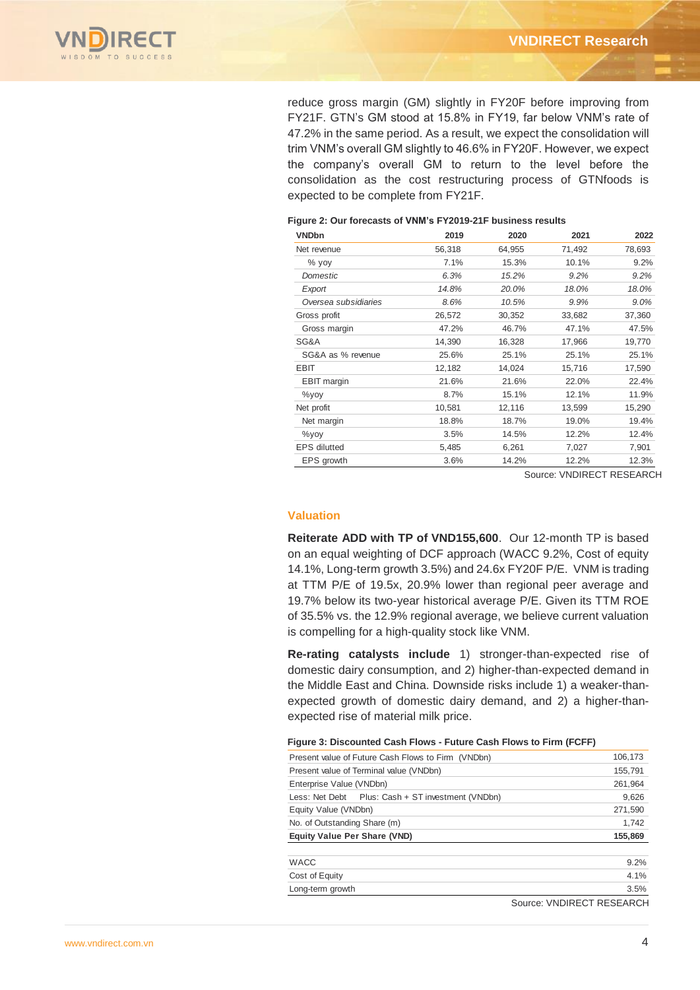

reduce gross margin (GM) slightly in FY20F before improving from FY21F. GTN's GM stood at 15.8% in FY19, far below VNM's rate of 47.2% in the same period. As a result, we expect the consolidation will trim VNM's overall GM slightly to 46.6% in FY20F. However, we expect the company's overall GM to return to the level before the consolidation as the cost restructuring process of GTNfoods is expected to be complete from FY21F.

#### **Figure 2: Our forecasts of VNM's FY2019-21F business results**

| <b>VNDbn</b>         | 2019   | 2020   | 2021   | 2022    |
|----------------------|--------|--------|--------|---------|
| Net revenue          | 56,318 | 64,955 | 71,492 | 78,693  |
| $%$ yoy              | 7.1%   | 15.3%  | 10.1%  | 9.2%    |
| Domestic             | 6.3%   | 15.2%  | 9.2%   | 9.2%    |
| Export               | 14.8%  | 20.0%  | 18.0%  | 18.0%   |
| Oversea subsidiaries | 8.6%   | 10.5%  | 9.9%   | $9.0\%$ |
| Gross profit         | 26,572 | 30,352 | 33,682 | 37,360  |
| Gross margin         | 47.2%  | 46.7%  | 47.1%  | 47.5%   |
| SG&A                 | 14,390 | 16,328 | 17,966 | 19,770  |
| SG&A as % revenue    | 25.6%  | 25.1%  | 25.1%  | 25.1%   |
| EBIT                 | 12,182 | 14,024 | 15,716 | 17,590  |
| <b>EBIT</b> margin   | 21.6%  | 21.6%  | 22.0%  | 22.4%   |
| $\%$ yoy             | 8.7%   | 15.1%  | 12.1%  | 11.9%   |
| Net profit           | 10,581 | 12,116 | 13,599 | 15,290  |
| Net margin           | 18.8%  | 18.7%  | 19.0%  | 19.4%   |
| $\%$ yoy             | 3.5%   | 14.5%  | 12.2%  | 12.4%   |
| <b>EPS</b> dilutted  | 5,485  | 6,261  | 7,027  | 7,901   |
| EPS growth           | 3.6%   | 14.2%  | 12.2%  | 12.3%   |

Source: VNDIRECT RESEARCH

#### **Valuation**

**Reiterate ADD with TP of VND155,600**. Our 12-month TP is based on an equal weighting of DCF approach (WACC 9.2%, Cost of equity 14.1%, Long-term growth 3.5%) and 24.6x FY20F P/E. VNM is trading at TTM P/E of 19.5x, 20.9% lower than regional peer average and 19.7% below its two-year historical average P/E. Given its TTM ROE of 35.5% vs. the 12.9% regional average, we believe current valuation is compelling for a high-quality stock like VNM.

**Re-rating catalysts include** 1) stronger-than-expected rise of domestic dairy consumption, and 2) higher-than-expected demand in the Middle East and China. Downside risks include 1) a weaker-thanexpected growth of domestic dairy demand, and 2) a higher-thanexpected rise of material milk price.

#### **Figure 3: Discounted Cash Flows - Future Cash Flows to Firm (FCFF)**

| Present value of Future Cash Flows to Firm (VNDbn) | 106,173                   |
|----------------------------------------------------|---------------------------|
| Present value of Terminal value (VNDbn)            | 155,791                   |
| Enterprise Value (VNDbn)                           | 261,964                   |
| Less: Net Debt Plus: Cash + ST investment (VNDbn)  | 9,626                     |
| Equity Value (VNDbn)                               | 271,590                   |
| No. of Outstanding Share (m)                       | 1.742                     |
| <b>Equity Value Per Share (VND)</b>                | 155,869                   |
|                                                    |                           |
| <b>WACC</b>                                        | 9.2%                      |
| Cost of Equity                                     | 4.1%                      |
| Long-term growth                                   | 3.5%                      |
|                                                    | Source: VNDIRECT RESEARCH |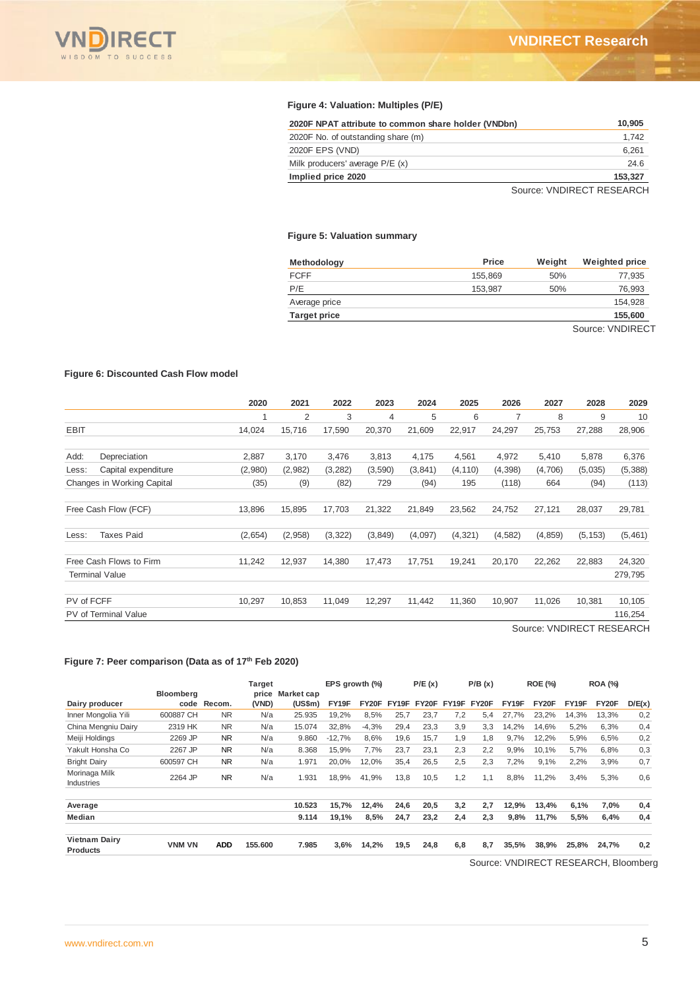

#### **Figure 4: Valuation: Multiples (P/E)**

| 2020F NPAT attribute to common share holder (VNDbn) | 10.905  |
|-----------------------------------------------------|---------|
| 2020F No. of outstanding share (m)                  | 1.742   |
| 2020F EPS (VND)                                     | 6.261   |
| Milk producers' average P/E (x)                     | 24.6    |
| Implied price 2020                                  | 153,327 |
|                                                     |         |

Source: VNDIRECT RESEARCH

#### **Figure 5: Valuation summary**

| Methodology         | Price   | Weight | <b>Weighted price</b> |
|---------------------|---------|--------|-----------------------|
| <b>FCFF</b>         | 155.869 | 50%    | 77,935                |
| P/E                 | 153.987 | 50%    | 76,993                |
| Average price       |         |        | 154.928               |
| <b>Target price</b> |         |        | 155,600               |
|                     |         |        | $\sim$<br>.           |

Source: VNDIRECT

#### **Figure 6: Discounted Cash Flow model**

|            |                             | 2020    | 2021    | 2022     | 2023     | 2024    | 2025     | 2026           | 2027                                      | 2028     | 2029    |
|------------|-----------------------------|---------|---------|----------|----------|---------|----------|----------------|-------------------------------------------|----------|---------|
|            |                             |         | 2       | 3        | 4        | 5       | 6        | $\overline{7}$ | 8                                         | 9        | 10      |
| EBIT       |                             | 14,024  | 15,716  | 17,590   | 20,370   | 21,609  | 22,917   | 24,297         | 25,753                                    | 27,288   | 28,906  |
| Add:       | Depreciation                | 2,887   | 3,170   | 3,476    | 3,813    | 4,175   | 4,561    | 4,972          | 5,410                                     | 5,878    | 6,376   |
| Less:      | Capital expenditure         | (2,980) | (2,982) | (3,282)  | (3,590)  | (3,841) | (4, 110) | (4,398)        | (4,706)                                   | (5,035)  | (5,388) |
|            | Changes in Working Capital  | (35)    | (9)     | (82)     | 729      | (94)    | 195      | (118)          | 664                                       | (94)     | (113)   |
|            | Free Cash Flow (FCF)        | 13,896  | 15,895  | 17,703   | 21,322   | 21,849  | 23,562   | 24,752         | 27,121                                    | 28,037   | 29,781  |
| Less:      | <b>Taxes Paid</b>           | (2,654) | (2,958) | (3, 322) | (3, 849) | (4,097) | (4, 321) | (4, 582)       | (4, 859)                                  | (5, 153) | (5,461) |
|            | Free Cash Flows to Firm     | 11,242  | 12,937  | 14,380   | 17,473   | 17,751  | 19,241   | 20,170         | 22,262                                    | 22,883   | 24,320  |
|            | <b>Terminal Value</b>       |         |         |          |          |         |          |                |                                           |          | 279,795 |
| PV of FCFF |                             | 10,297  | 10,853  | 11,049   | 12,297   | 11,442  | 11,360   | 10,907         | 11,026                                    | 10,381   | 10,105  |
|            | <b>PV</b> of Terminal Value |         |         |          |          |         |          |                |                                           |          | 116,254 |
|            |                             |         |         |          |          |         |          |                | $C_{2}, \ldots, C_{k}$ (AIDIDECT DECEADOL |          |         |

Source: VNDIRECT RESEARCH

#### **Figure 7: Peer comparison (Data as of 17th Feb 2020)**

|                                         |                  |             | <b>Target</b>  |                       | EPS growth (%) |         |       | P/E(x) |       | P/B(x) |       | <b>ROE (%)</b> |       | <b>ROA (%)</b> |        |
|-----------------------------------------|------------------|-------------|----------------|-----------------------|----------------|---------|-------|--------|-------|--------|-------|----------------|-------|----------------|--------|
| Dairy producer                          | <b>Bloomberg</b> | code Recom. | price<br>(VND) | Market cap<br>(US\$m) | FY19F          | FY20F   | FY19F | FY20F  | FY19F | FY20F  | FY19F | FY20F          | FY19F | FY20F          | D/E(x) |
| Inner Mongolia Yili                     | 600887 CH        | NR.         | N/a            | 25.935                | 19.2%          | 8.5%    | 25.7  | 23.7   | 7.2   | 5.4    | 27.7% | 23.2%          | 14.3% | 13.3%          | 0,2    |
| China Mengniu Dairy                     | 2319 HK          | <b>NR</b>   | N/a            | 15.074                | 32.8%          | $-4,3%$ | 29,4  | 23,3   | 3.9   | 3.3    | 14,2% | 14,6%          | 5,2%  | 6.3%           | 0,4    |
| Meiji Holdings                          | 2269 JP          | <b>NR</b>   | N/a            | 9.860                 | $-12.7%$       | 8.6%    | 19.6  | 15.7   | 1.9   | 1.8    | 9.7%  | 12,2%          | 5,9%  | 6.5%           | 0,2    |
| Yakult Honsha Co                        | 2267 JP          | <b>NR</b>   | N/a            | 8.368                 | 15.9%          | 7.7%    | 23.7  | 23.1   | 2,3   | 2.2    | 9.9%  | 10.1%          | 5.7%  | 6.8%           | 0,3    |
| <b>Bright Dairy</b>                     | 600597 CH        | <b>NR</b>   | N/a            | 1.971                 | 20,0%          | 12,0%   | 35,4  | 26,5   | 2,5   | 2.3    | 7,2%  | 9,1%           | 2,2%  | 3,9%           | 0,7    |
| Morinaga Milk<br><b>Industries</b>      | 2264 JP          | <b>NR</b>   | N/a            | 1.931                 | 18.9%          | 41.9%   | 13,8  | 10,5   | 1,2   | 1.1    | 8.8%  | 11.2%          | 3.4%  | 5,3%           | 0,6    |
| Average                                 |                  |             |                | 10.523                | 15,7%          | 12,4%   | 24,6  | 20,5   | 3,2   | 2.7    | 12.9% | 13,4%          | 6,1%  | 7,0%           | 0,4    |
| <b>Median</b>                           |                  |             |                | 9.114                 | 19.1%          | 8.5%    | 24.7  | 23.2   | 2.4   | 2.3    | 9.8%  | 11.7%          | 5.5%  | 6.4%           | 0,4    |
| <b>Vietnam Dairy</b><br><b>Products</b> | <b>VNM VN</b>    | <b>ADD</b>  | 155.600        | 7.985                 | 3,6%           | 14.2%   | 19,5  | 24.8   | 6.8   | 8.7    | 35.5% | 38.9%          | 25.8% | 24.7%          | 0,2    |

Source: VNDIRECT RESEARCH, Bloomberg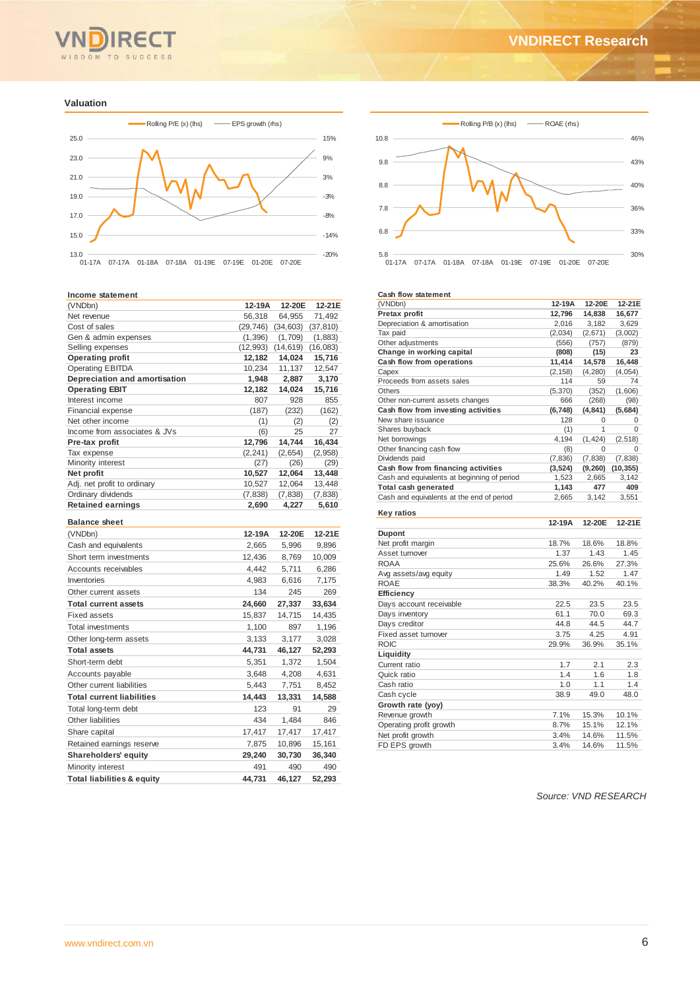# WISDOM TO SUCCESS

#### **Valuation**



#### **Income statement**

| (VNDbn)                               | 12-19A         | 12-20E         | 12-21E         |
|---------------------------------------|----------------|----------------|----------------|
| Net revenue                           | 56,318         | 64,955         | 71,492         |
| Cost of sales                         | (29, 746)      | (34, 603)      | (37, 810)      |
| Gen & admin expenses                  | (1, 396)       | (1,709)        | (1,883)        |
| Selling expenses                      | (12, 993)      | (14, 619)      | (16,083)       |
| <b>Operating profit</b>               | 12,182         | 14,024         | 15,716         |
| <b>Operating EBITDA</b>               | 10,234         | 11,137         | 12,547         |
| Depreciation and amortisation         | 1,948          | 2,887          | 3,170          |
| <b>Operating EBIT</b>                 | 12,182         | 14,024         | 15,716         |
| Interest income                       | 807            | 928            | 855            |
| Financial expense                     | (187)          | (232)          | (162)          |
| Net other income                      | (1)            | (2)            | (2)            |
| Income from associates & JVs          | (6)            | 25             | 27             |
| Pre-tax profit                        | 12,796         | 14,744         | 16,434         |
| Tax expense                           | (2, 241)       | (2,654)        | (2,958)        |
| Minority interest<br>Net profit       | (27)<br>10,527 | (26)<br>12,064 | (29)<br>13,448 |
| Adj. net profit to ordinary           | 10,527         | 12,064         | 13,448         |
| Ordinary dividends                    | (7, 838)       | (7, 838)       | (7,838)        |
| <b>Retained earnings</b>              | 2,690          | 4,227          | 5,610          |
|                                       |                |                |                |
| <b>Balance sheet</b>                  |                |                |                |
| (VNDbn)                               | 12-19A         | 12-20E         | 12-21E         |
| Cash and equivalents                  | 2,665          | 5,996          | 9,896          |
| Short term investments                | 12,436         | 8,769          | 10,009         |
| Accounts receivables                  | 4.442          | 5,711          | 6,286          |
| Inventories                           | 4,983          | 6,616          | 7,175          |
| Other current assets                  | 134            | 245            | 269            |
| <b>Total current assets</b>           | 24,660         | 27,337         | 33,634         |
| <b>Fixed assets</b>                   | 15,837         | 14,715         | 14,435         |
| <b>Total investments</b>              | 1,100          | 897            | 1,196          |
| Other long-term assets                | 3,133          | 3,177          | 3,028          |
| <b>Total assets</b>                   | 44,731         | 46,127         | 52,293         |
| Short-term debt                       | 5,351          | 1,372          | 1,504          |
|                                       | 3,648          | 4,208          | 4,631          |
| Accounts payable                      |                |                |                |
| Other current liabilities             | 5,443          | 7,751          | 8,452          |
| <b>Total current liabilities</b>      | 14,443         | 13,331         | 14,588         |
| Total long-term debt                  | 123            | 91             | 29             |
| Other liabilities                     | 434            | 1,484          | 846            |
| Share capital                         | 17,417         | 17,417         | 17,417         |
| Retained earnings reserve             | 7,875          | 10,896         | 15,161         |
| <b>Shareholders' equity</b>           | 29,240         | 30,730         | 36,340         |
| Minority interest                     | 491            | 490            | 490            |
| <b>Total liabilities &amp; equity</b> | 44.731         | 46,127         | 52,293         |



#### **Cash flow statement**

| (VNDbn)                                     | 12-19A   | 12-20E      | 12-21E    |
|---------------------------------------------|----------|-------------|-----------|
| Pretax profit                               | 12,796   | 14,838      | 16,677    |
| Depreciation & amortisation                 | 2,016    | 3,182       | 3,629     |
| Tax paid                                    | (2,034)  | (2,671)     | (3,002)   |
| Other adjustments                           | (556)    | (757)       | (879)     |
| Change in working capital                   | (808)    | (15)        | 23        |
| Cash flow from operations                   | 11,414   | 14,578      | 16,448    |
| Capex                                       | (2, 158) | (4,280)     | (4,054)   |
| Proceeds from assets sales                  | 114      | 59          | 74        |
| <b>Others</b>                               | (5, 370) | (352)       | (1,606)   |
| Other non-current assets changes            | 666      | (268)       | (98)      |
| Cash flow from investing activities         | (6,748)  | (4, 841)    | (5,684)   |
| New share issuance                          | 128      | $\mathbf 0$ | 0         |
| Shares buyback                              | (1)      | 1           | $\Omega$  |
| Net borrowings                              | 4,194    | (1, 424)    | (2,518)   |
| Other financing cash flow                   | (8)      | $\Omega$    | 0         |
| Dividends paid                              | (7, 836) | (7, 838)    | (7, 838)  |
| Cash flow from financing activities         | (3, 524) | (9,260)     | (10, 355) |
| Cash and equivalents at beginning of period | 1,523    | 2,665       | 3,142     |
| Total cash generated                        | 1,143    | 477         | 409       |
| Cash and equivalents at the end of period   | 2,665    | 3,142       | 3,551     |
| <b>Key ratios</b>                           | 12-19A   | 12-20E      | 12-21E    |
| <b>Dupont</b>                               |          |             |           |
| Net profit margin                           | 18.7%    | 18.6%       | 18.8%     |
| Asset turnover                              | 1.37     | 1.43        | 1.45      |
| <b>ROAA</b>                                 | 25.6%    | 26.6%       | 27.3%     |
| Avg assets/avg equity                       | 1.49     | 1.52        | 1.47      |
| <b>ROAE</b>                                 | 38.3%    | 40.2%       | 40.1%     |
| Efficiency                                  |          |             |           |
| Days account receivable                     | 22.5     | 23.5        | 23.5      |
| Days inventory                              | 61.1     | 70.0        | 69.3      |
| Days creditor                               | 44.8     | 44.5        | 44.7      |
| Fixed asset turnover                        | 3.75     | 4.25        | 4.91      |
| <b>ROIC</b>                                 | 29.9%    | 36.9%       | 35.1%     |
| Liquidity                                   |          |             |           |
| Current ratio                               | 1.7      | 2.1         | 2.3       |
| Quick ratio                                 | 1.4      | 1.6         | 1.8       |
| Cash ratio                                  | 1.0      | 1.1         | 1.4       |
| Cash cycle                                  | 38.9     | 49.0        | 48.0      |
| Growth rate (yoy)                           |          |             |           |
| Revenue growth                              | 7.1%     | 15.3%       | 10.1%     |
| Operating profit growth                     | 8.7%     | 15.1%       | 12.1%     |
| Net profit growth                           | 3.4%     | 14.6%       | 11.5%     |
| FD EPS growth                               | 3.4%     | 14.6%       | 11.5%     |

*Source: VND RESEARCH*